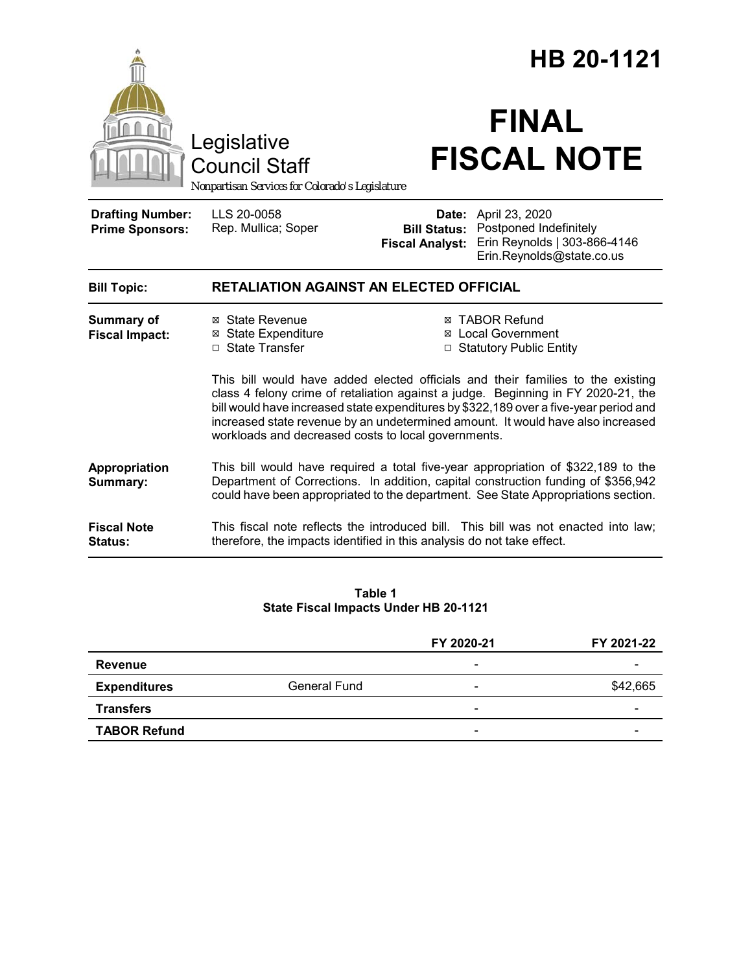|                                                                   |                                     | HB 20-1121                                                                                                                                                                                                                                                                                                                                                                                                                                                                                                                                                                                                                                                                                                                                                                                                                                                                                                                                  |
|-------------------------------------------------------------------|-------------------------------------|---------------------------------------------------------------------------------------------------------------------------------------------------------------------------------------------------------------------------------------------------------------------------------------------------------------------------------------------------------------------------------------------------------------------------------------------------------------------------------------------------------------------------------------------------------------------------------------------------------------------------------------------------------------------------------------------------------------------------------------------------------------------------------------------------------------------------------------------------------------------------------------------------------------------------------------------|
|                                                                   |                                     | <b>FINAL</b><br><b>FISCAL NOTE</b>                                                                                                                                                                                                                                                                                                                                                                                                                                                                                                                                                                                                                                                                                                                                                                                                                                                                                                          |
| LLS 20-0058<br>Rep. Mullica; Soper                                | <b>Fiscal Analyst:</b>              | Date: April 23, 2020<br><b>Bill Status: Postponed Indefinitely</b><br>Erin Reynolds   303-866-4146<br>Erin.Reynolds@state.co.us                                                                                                                                                                                                                                                                                                                                                                                                                                                                                                                                                                                                                                                                                                                                                                                                             |
|                                                                   |                                     |                                                                                                                                                                                                                                                                                                                                                                                                                                                                                                                                                                                                                                                                                                                                                                                                                                                                                                                                             |
| ⊠ State Revenue<br><b>⊠</b> State Expenditure<br>□ State Transfer |                                     | ⊠ TABOR Refund<br><b>Local Government</b><br>□ Statutory Public Entity                                                                                                                                                                                                                                                                                                                                                                                                                                                                                                                                                                                                                                                                                                                                                                                                                                                                      |
|                                                                   |                                     |                                                                                                                                                                                                                                                                                                                                                                                                                                                                                                                                                                                                                                                                                                                                                                                                                                                                                                                                             |
|                                                                   | Legislative<br><b>Council Staff</b> | Nonpartisan Services for Colorado's Legislature<br><b>RETALIATION AGAINST AN ELECTED OFFICIAL</b><br>This bill would have added elected officials and their families to the existing<br>class 4 felony crime of retaliation against a judge. Beginning in FY 2020-21, the<br>bill would have increased state expenditures by \$322,189 over a five-year period and<br>increased state revenue by an undetermined amount. It would have also increased<br>workloads and decreased costs to local governments.<br>This bill would have required a total five-year appropriation of \$322,189 to the<br>Department of Corrections. In addition, capital construction funding of \$356,942<br>could have been appropriated to the department. See State Appropriations section.<br>This fiscal note reflects the introduced bill. This bill was not enacted into law;<br>therefore, the impacts identified in this analysis do not take effect. |

#### **Table 1 State Fiscal Impacts Under HB 20-1121**

|                     |              | FY 2020-21               | FY 2021-22 |
|---------------------|--------------|--------------------------|------------|
| Revenue             |              | $\overline{\phantom{a}}$ |            |
| <b>Expenditures</b> | General Fund | $\overline{\phantom{0}}$ | \$42,665   |
| <b>Transfers</b>    |              | $\overline{\phantom{0}}$ |            |
| <b>TABOR Refund</b> |              | $\overline{\phantom{0}}$ |            |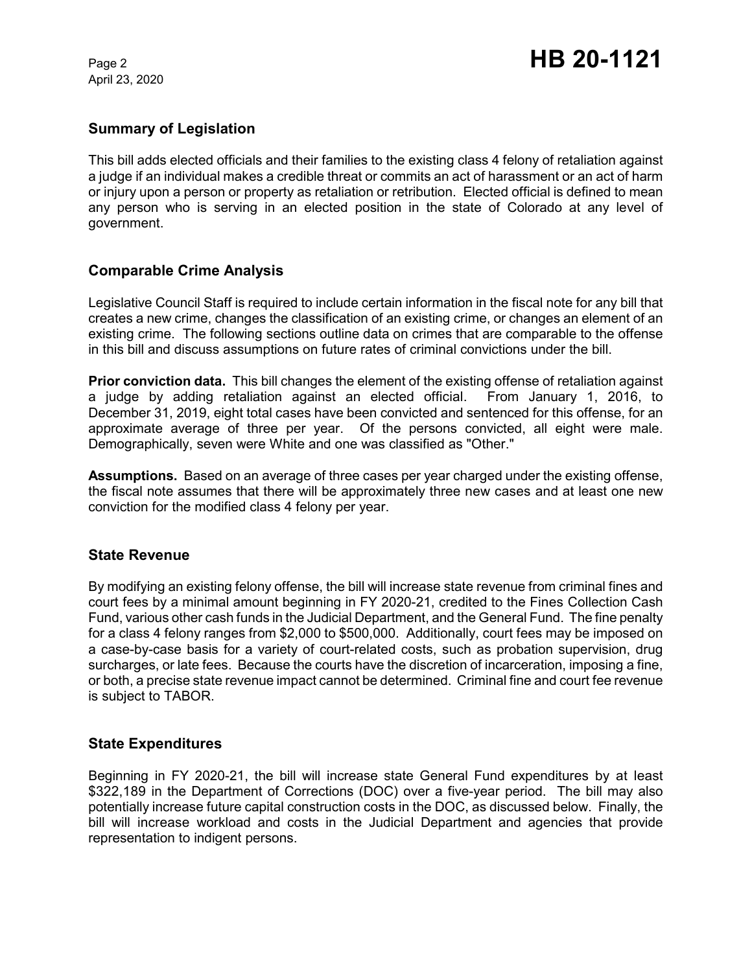April 23, 2020

## **Summary of Legislation**

This bill adds elected officials and their families to the existing class 4 felony of retaliation against a judge if an individual makes a credible threat or commits an act of harassment or an act of harm or injury upon a person or property as retaliation or retribution. Elected official is defined to mean any person who is serving in an elected position in the state of Colorado at any level of government.

## **Comparable Crime Analysis**

Legislative Council Staff is required to include certain information in the fiscal note for any bill that creates a new crime, changes the classification of an existing crime, or changes an element of an existing crime. The following sections outline data on crimes that are comparable to the offense in this bill and discuss assumptions on future rates of criminal convictions under the bill.

**Prior conviction data.** This bill changes the element of the existing offense of retaliation against a judge by adding retaliation against an elected official. From January 1, 2016, to December 31, 2019, eight total cases have been convicted and sentenced for this offense, for an approximate average of three per year. Of the persons convicted, all eight were male. Demographically, seven were White and one was classified as "Other."

**Assumptions.** Based on an average of three cases per year charged under the existing offense, the fiscal note assumes that there will be approximately three new cases and at least one new conviction for the modified class 4 felony per year.

#### **State Revenue**

By modifying an existing felony offense, the bill will increase state revenue from criminal fines and court fees by a minimal amount beginning in FY 2020-21, credited to the Fines Collection Cash Fund, various other cash funds in the Judicial Department, and the General Fund. The fine penalty for a class 4 felony ranges from \$2,000 to \$500,000. Additionally, court fees may be imposed on a case-by-case basis for a variety of court-related costs, such as probation supervision, drug surcharges, or late fees. Because the courts have the discretion of incarceration, imposing a fine, or both, a precise state revenue impact cannot be determined. Criminal fine and court fee revenue is subject to TABOR.

#### **State Expenditures**

Beginning in FY 2020-21, the bill will increase state General Fund expenditures by at least \$322,189 in the Department of Corrections (DOC) over a five-year period. The bill may also potentially increase future capital construction costs in the DOC, as discussed below. Finally, the bill will increase workload and costs in the Judicial Department and agencies that provide representation to indigent persons.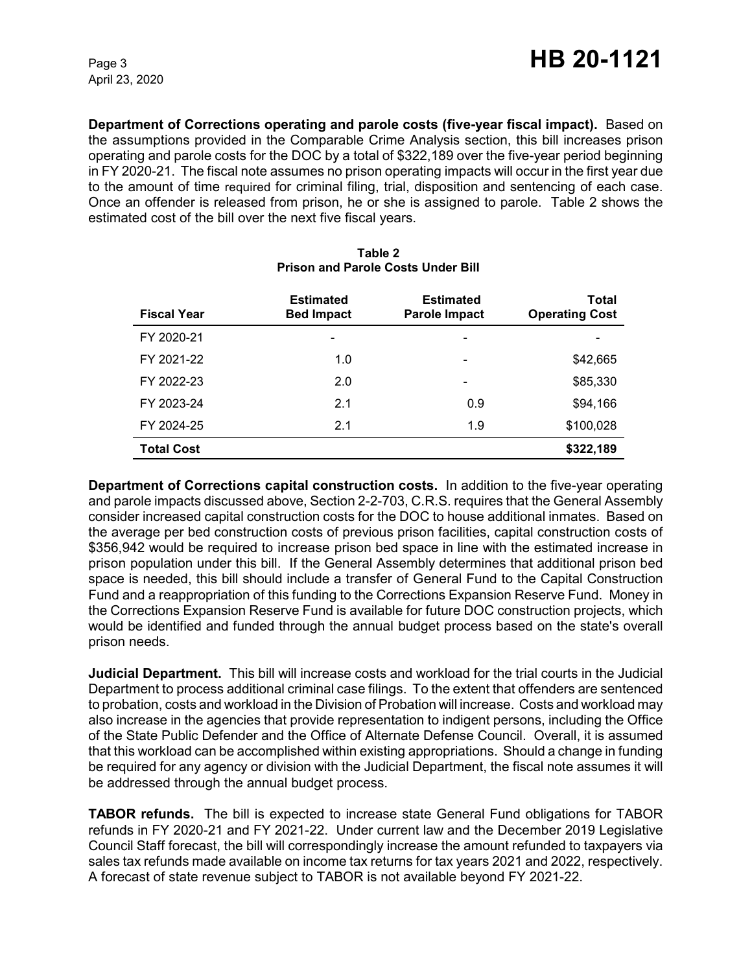April 23, 2020

**Department of Corrections operating and parole costs (five-year fiscal impact).** Based on the assumptions provided in the Comparable Crime Analysis section, this bill increases prison operating and parole costs for the DOC by a total of \$322,189 over the five-year period beginning in FY 2020-21. The fiscal note assumes no prison operating impacts will occur in the first year due to the amount of time required for criminal filing, trial, disposition and sentencing of each case. Once an offender is released from prison, he or she is assigned to parole. Table 2 shows the estimated cost of the bill over the next five fiscal years.

| <b>Fiscal Year</b> | <b>Estimated</b><br><b>Bed Impact</b> | <b>Estimated</b><br>Parole Impact | <b>Total</b><br><b>Operating Cost</b> |
|--------------------|---------------------------------------|-----------------------------------|---------------------------------------|
| FY 2020-21         |                                       | -                                 |                                       |
| FY 2021-22         | 1.0                                   | $\qquad \qquad \blacksquare$      | \$42,665                              |
| FY 2022-23         | 2.0                                   | $\overline{\phantom{a}}$          | \$85,330                              |
| FY 2023-24         | 2.1                                   | 0.9                               | \$94,166                              |
| FY 2024-25         | 2.1                                   | 1.9                               | \$100,028                             |
| <b>Total Cost</b>  |                                       |                                   | \$322,189                             |

## **Table 2 Prison and Parole Costs Under Bill**

**Department of Corrections capital construction costs.** In addition to the five-year operating and parole impacts discussed above, Section 2-2-703, C.R.S. requires that the General Assembly consider increased capital construction costs for the DOC to house additional inmates. Based on the average per bed construction costs of previous prison facilities, capital construction costs of \$356,942 would be required to increase prison bed space in line with the estimated increase in prison population under this bill. If the General Assembly determines that additional prison bed space is needed, this bill should include a transfer of General Fund to the Capital Construction Fund and a reappropriation of this funding to the Corrections Expansion Reserve Fund. Money in the Corrections Expansion Reserve Fund is available for future DOC construction projects, which would be identified and funded through the annual budget process based on the state's overall prison needs.

**Judicial Department.** This bill will increase costs and workload for the trial courts in the Judicial Department to process additional criminal case filings. To the extent that offenders are sentenced to probation, costs and workload in the Division of Probation will increase. Costs and workload may also increase in the agencies that provide representation to indigent persons, including the Office of the State Public Defender and the Office of Alternate Defense Council. Overall, it is assumed that this workload can be accomplished within existing appropriations. Should a change in funding be required for any agency or division with the Judicial Department, the fiscal note assumes it will be addressed through the annual budget process.

**TABOR refunds.** The bill is expected to increase state General Fund obligations for TABOR refunds in FY 2020-21 and FY 2021-22. Under current law and the December 2019 Legislative Council Staff forecast, the bill will correspondingly increase the amount refunded to taxpayers via sales tax refunds made available on income tax returns for tax years 2021 and 2022, respectively. A forecast of state revenue subject to TABOR is not available beyond FY 2021-22.